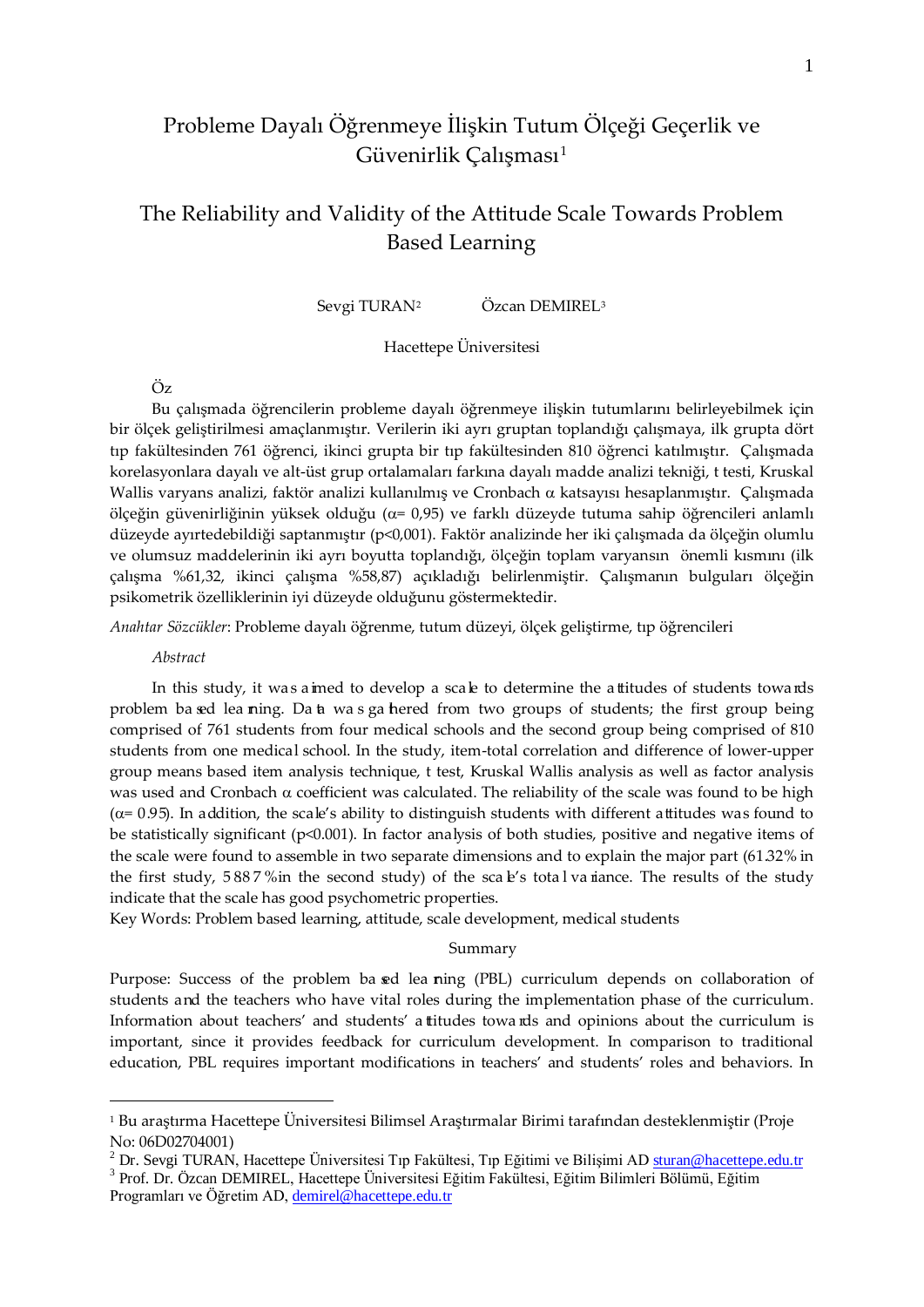# Probleme Dayalı Öğrenmeye İlişkin Tutum Ölçeği Geçerlik ve Güvenirlik Çalışması<sup>[1](#page-0-0)</sup>

# The Reliability and Validity of the Attitude Scale Towards Problem Based Learning

Sevgi TURAN<sup>2</sup> Özcan DEMIREL<sup>[3](#page-0-2)</sup>

# Hacettepe Üniversitesi

# Öz

Bu çalışmada öğrencilerin probleme dayalı öğrenmeye ilişkin tutumlarını belirleyebilmek için bir ölçek geliştirilmesi amaçlanmıştır. Verilerin iki ayrı gruptan toplandığı çalışmaya, ilk grupta dört tıp fakültesinden 761 öğrenci, ikinci grupta bir tıp fakültesinden 810 öğrenci katılmıştır. Çalışmada korelasyonlara dayalı ve alt-üst grup ortalamaları farkına dayalı madde analizi tekniği, t testi, Kruskal Wallis varyans analizi, faktör analizi kullanılmış ve Cronbach α katsayısı hesaplanmıştır. Çalışmada ölçeğin güvenirliğinin yüksek olduğu (α= 0,95) ve farklı düzeyde tutuma sahip öğrencileri anlamlı düzeyde ayırtedebildiği saptanmıştır (p<0,001). Faktör analizinde her iki çalışmada da ölçeğin olumlu ve olumsuz maddelerinin iki ayrı boyutta toplandığı, ölçeğin toplam varyansın önemli kısmını (ilk çalışma %61,32, ikinci çalışma %58,87) açıkladığı belirlenmiştir. Çalışmanın bulguları ölçeğin psikometrik özelliklerinin iyi düzeyde olduğunu göstermektedir.

*Anahtar Sözcükler*: Probleme dayalı öğrenme, tutum düzeyi, ölçek geliştirme, tıp öğrencileri

*Abstract*

 $\overline{a}$ 

In this study, it was aimed to develop a scale to determine the attitudes of students towards problem ba sed lea ning. Da a was ga hered from two groups of students; the first group being comprised of 761 students from four medical schools and the second group being comprised of 810 students from one medical school. In the study, item-total correlation and difference of lower-upper group means based item analysis technique, t test, Kruskal Wallis analysis as well as factor analysis was used and Cronbach  $\alpha$  coefficient was calculated. The reliability of the scale was found to be high  $(\alpha=0.95)$ . In addition, the scale's ability to distinguish students with different attitudes was found to be statistically significant (p<0.001). In factor analysis of both studies, positive and negative items of the scale were found to assemble in two separate dimensions and to explain the major part (61.32% in the first study, 5887% in the second study) of the scale's total valuation The results of the study indicate that the scale has good psychometric properties.

Key Words: Problem based learning, attitude, scale development, medical students

Summary

Purpose: Success of the problem ba sed lea ning (PBL) curriculum depends on collaboration of students and the teachers who have vital roles during the implementation phase of the curriculum. Information about teachers' and students' a titudes towa rds and opinions about the curriculum is important, since it provides feedback for curriculum development. In comparison to traditional education, PBL requires important modifications in teachers' and students' roles and behaviors. In

<span id="page-0-0"></span><sup>1</sup> Bu araştırma Hacettepe Üniversitesi Bilimsel Araştırmalar Birimi tarafından desteklenmiştir (Proje No: 06D02704001)

<span id="page-0-1"></span><sup>&</sup>lt;sup>2</sup> Dr. Sevgi TURAN, Hacettepe Üniversitesi Tıp Fakültesi, Tıp Eğitimi ve Bilişimi AD <u>[sturan@hacettepe.edu.tr](mailto:sturan@hacettepe.edu.tr)</u><br><sup>3</sup> Prof. Dr. Özcan DEMIREL, Hacettepe Üniversitesi Eğitim Fakültesi, Eğitim Bilimleri Bölümü, Eğitim

<span id="page-0-2"></span>Programları ve Öğretim AD, [demirel@hacettepe.edu.tr](mailto:demirel@hacettepe.edu.tr)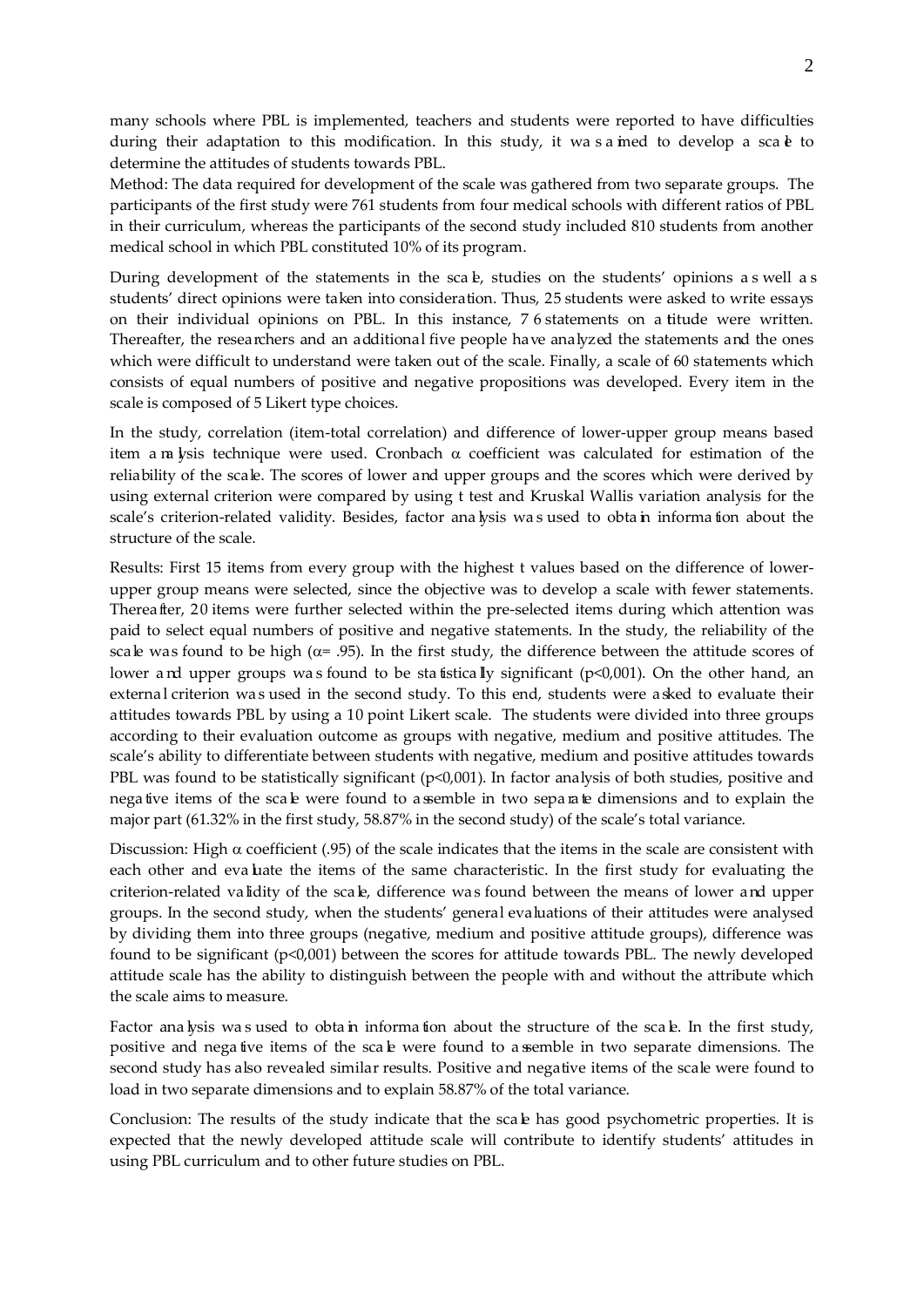many schools where PBL is implemented, teachers and students were reported to have difficulties during their adaptation to this modification. In this study, it was a imed to develop a sca  $\bf{e}$  to determine the attitudes of students towards PBL.

Method: The data required for development of the scale was gathered from two separate groups. The participants of the first study were 761 students from four medical schools with different ratios of PBL in their curriculum, whereas the participants of the second study included 810 students from another medical school in which PBL constituted 10% of its program.

During development of the statements in the scale, studies on the students' opinions as well as students' direct opinions were taken into consideration. Thus, 25 students were asked to write essays on their individual opinions on PBL. In this instance, 7 6 statements on a titude were written. Thereafter, the researchers and an additional five people have analyzed the statements and the ones which were difficult to understand were taken out of the scale. Finally, a scale of 60 statements which consists of equal numbers of positive and negative propositions was developed. Every item in the scale is composed of 5 Likert type choices.

In the study, correlation (item-total correlation) and difference of lower-upper group means based item a na lysis technique were used. Cronbach  $\alpha$  coefficient was calculated for estimation of the reliability of the scale. The scores of lower and upper groups and the scores which were derived by using external criterion were compared by using t test and Kruskal Wallis variation analysis for the scale's criterion-related validity. Besides, factor ana lysis was used to obta in informa tion about the structure of the scale.

Results: First 15 items from every group with the highest t values based on the difference of lowerupper group means were selected, since the objective was to develop a scale with fewer statements. Thereafter, 20 items were further selected within the pre-selected items during which attention was paid to select equal numbers of positive and negative statements. In the study, the reliability of the scale was found to be high ( $\alpha$ = .95). In the first study, the difference between the attitude scores of lower a nd upper groups was found to be statistically significant ( $p<0,001$ ). On the other hand, an external criterion was used in the second study. To this end, students were a sked to evaluate their attitudes towards PBL by using a 10 point Likert scale. The students were divided into three groups according to their evaluation outcome as groups with negative, medium and positive attitudes. The scale's ability to differentiate between students with negative, medium and positive attitudes towards PBL was found to be statistically significant (p<0,001). In factor analysis of both studies, positive and nega tive items of the scale were found to a semble in two separated imensions and to explain the major part (61.32% in the first study, 58.87% in the second study) of the scale's total variance.

Discussion: High  $\alpha$  coefficient (.95) of the scale indicates that the items in the scale are consistent with each other and eva luate the items of the same characteristic. In the first study for evaluating the criterion-related validity of the scale, difference was found between the means of lower and upper groups. In the second study, when the students' general evaluations of their attitudes were analysed by dividing them into three groups (negative, medium and positive attitude groups), difference was found to be significant (p<0,001) between the scores for attitude towards PBL. The newly developed attitude scale has the ability to distinguish between the people with and without the attribute which the scale aims to measure.

Factor ana lysis was used to obtain information about the structure of the scale. In the first study, positive and nega tive items of the scale were found to a semble in two separate dimensions. The second study has also revealed similar results. Positive and negative items of the scale were found to load in two separate dimensions and to explain 58.87% of the total variance.

Conclusion: The results of the study indicate that the scale has good psychometric properties. It is expected that the newly developed attitude scale will contribute to identify students' attitudes in using PBL curriculum and to other future studies on PBL.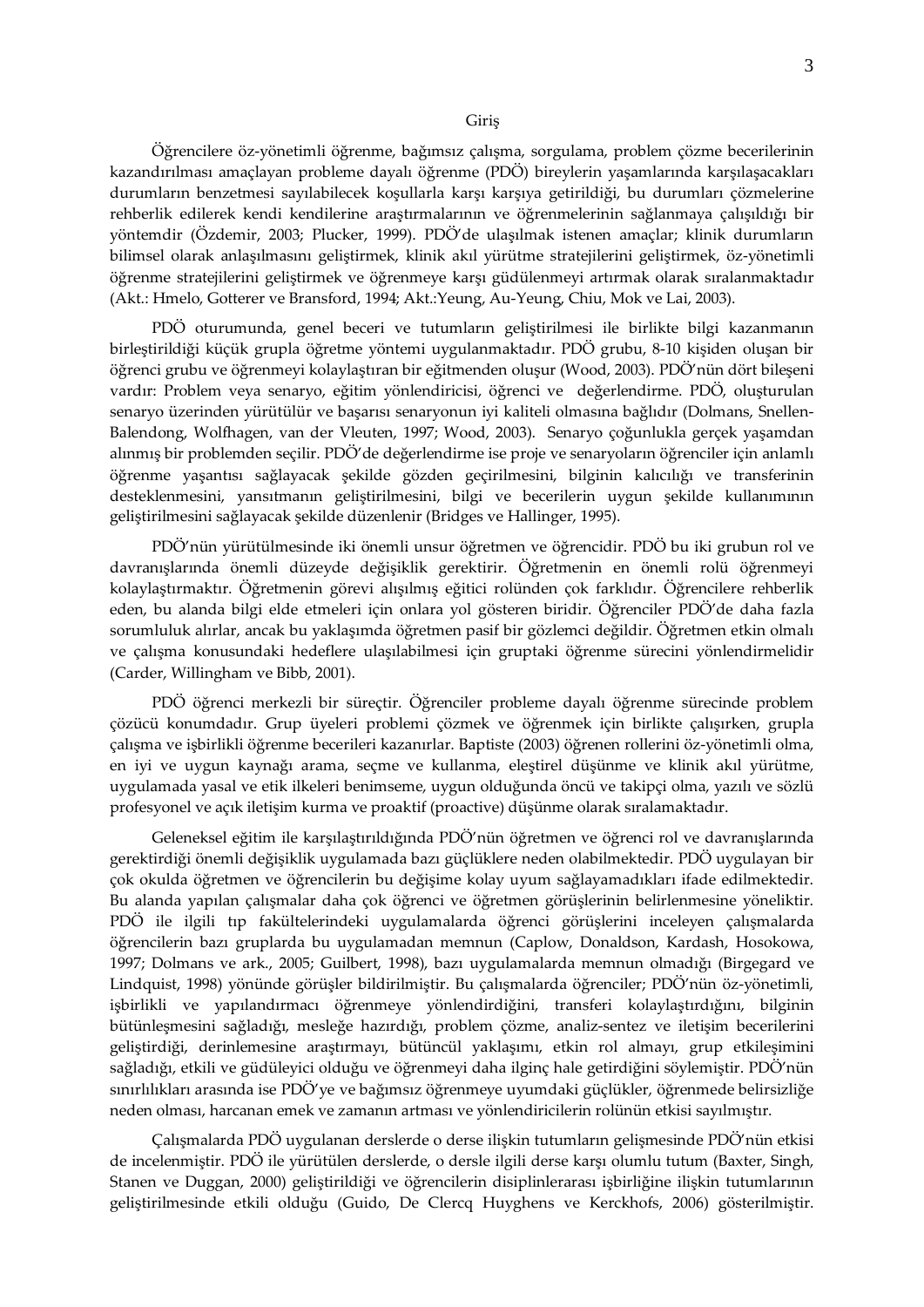Öğrencilere öz-yönetimli öğrenme, bağımsız çalışma, sorgulama, problem çözme becerilerinin kazandırılması amaçlayan probleme dayalı öğrenme (PDÖ) bireylerin yaşamlarında karşılaşacakları durumların benzetmesi sayılabilecek koşullarla karşı karşıya getirildiği, bu durumları çözmelerine rehberlik edilerek kendi kendilerine araştırmalarının ve öğrenmelerinin sağlanmaya çalışıldığı bir yöntemdir (Özdemir, 2003; Plucker, 1999). PDÖ'de ulaşılmak istenen amaçlar; klinik durumların bilimsel olarak anlaşılmasını geliştirmek, klinik akıl yürütme stratejilerini geliştirmek, öz-yönetimli öğrenme stratejilerini geliştirmek ve öğrenmeye karşı güdülenmeyi artırmak olarak sıralanmaktadır (Akt.: Hmelo, Gotterer ve Bransford, 1994; Akt.:Yeung, Au-Yeung, Chiu, Mok ve Lai, 2003).

PDÖ oturumunda, genel beceri ve tutumların geliştirilmesi ile birlikte bilgi kazanmanın birleştirildiği küçük grupla öğretme yöntemi uygulanmaktadır. PDÖ grubu, 8-10 kişiden oluşan bir öğrenci grubu ve öğrenmeyi kolaylaştıran bir eğitmenden oluşur (Wood, 2003). PDÖ'nün dört bileşeni vardır: Problem veya senaryo, eğitim yönlendiricisi, öğrenci ve değerlendirme. PDÖ, oluşturulan senaryo üzerinden yürütülür ve başarısı senaryonun iyi kaliteli olmasına bağlıdır (Dolmans, Snellen-Balendong, Wolfhagen, van der Vleuten, 1997; Wood, 2003). Senaryo çoğunlukla gerçek yaşamdan alınmış bir problemden seçilir. PDÖ'de değerlendirme ise proje ve senaryoların öğrenciler için anlamlı öğrenme yaşantısı sağlayacak şekilde gözden geçirilmesini, bilginin kalıcılığı ve transferinin desteklenmesini, yansıtmanın geliştirilmesini, bilgi ve becerilerin uygun şekilde kullanımının geliştirilmesini sağlayacak şekilde düzenlenir (Bridges ve Hallinger, 1995).

PDÖ'nün yürütülmesinde iki önemli unsur öğretmen ve öğrencidir. PDÖ bu iki grubun rol ve davranışlarında önemli düzeyde değişiklik gerektirir. Öğretmenin en önemli rolü öğrenmeyi kolaylaştırmaktır. Öğretmenin görevi alışılmış eğitici rolünden çok farklıdır. Öğrencilere rehberlik eden, bu alanda bilgi elde etmeleri için onlara yol gösteren biridir. Öğrenciler PDÖ'de daha fazla sorumluluk alırlar, ancak bu yaklaşımda öğretmen pasif bir gözlemci değildir. Öğretmen etkin olmalı ve çalışma konusundaki hedeflere ulaşılabilmesi için gruptaki öğrenme sürecini yönlendirmelidir (Carder, Willingham ve Bibb, 2001).

PDÖ öğrenci merkezli bir süreçtir. Öğrenciler probleme dayalı öğrenme sürecinde problem çözücü konumdadır. Grup üyeleri problemi çözmek ve öğrenmek için birlikte çalışırken, grupla çalışma ve işbirlikli öğrenme becerileri kazanırlar. Baptiste (2003) öğrenen rollerini öz-yönetimli olma, en iyi ve uygun kaynağı arama, seçme ve kullanma, eleştirel düşünme ve klinik akıl yürütme, uygulamada yasal ve etik ilkeleri benimseme, uygun olduğunda öncü ve takipçi olma, yazılı ve sözlü profesyonel ve açık iletişim kurma ve proaktif (proactive) düşünme olarak sıralamaktadır.

Geleneksel eğitim ile karşılaştırıldığında PDÖ'nün öğretmen ve öğrenci rol ve davranışlarında gerektirdiği önemli değişiklik uygulamada bazı güçlüklere neden olabilmektedir. PDÖ uygulayan bir çok okulda öğretmen ve öğrencilerin bu değişime kolay uyum sağlayamadıkları ifade edilmektedir. Bu alanda yapılan çalışmalar daha çok öğrenci ve öğretmen görüşlerinin belirlenmesine yöneliktir. PDÖ ile ilgili tıp fakültelerindeki uygulamalarda öğrenci görüşlerini inceleyen çalışmalarda öğrencilerin bazı gruplarda bu uygulamadan memnun (Caplow, Donaldson, Kardash, Hosokowa, 1997; Dolmans ve ark., 2005; Guilbert, 1998), bazı uygulamalarda memnun olmadığı (Birgegard ve Lindquist, 1998) yönünde görüşler bildirilmiştir. Bu çalışmalarda öğrenciler; PDÖ'nün öz-yönetimli, işbirlikli ve yapılandırmacı öğrenmeye yönlendirdiğini, transferi kolaylaştırdığını, bilginin bütünleşmesini sağladığı, mesleğe hazırdığı, problem çözme, analiz-sentez ve iletişim becerilerini geliştirdiği, derinlemesine araştırmayı, bütüncül yaklaşımı, etkin rol almayı, grup etkileşimini sağladığı, etkili ve güdüleyici olduğu ve öğrenmeyi daha ilginç hale getirdiğini söylemiştir. PDÖ'nün sınırlılıkları arasında ise PDÖ'ye ve bağımsız öğrenmeye uyumdaki güçlükler, öğrenmede belirsizliğe neden olması, harcanan emek ve zamanın artması ve yönlendiricilerin rolünün etkisi sayılmıştır.

Çalışmalarda PDÖ uygulanan derslerde o derse ilişkin tutumların gelişmesinde PDÖ'nün etkisi de incelenmiştir. PDÖ ile yürütülen derslerde, o dersle ilgili derse karşı olumlu tutum (Baxter, Singh, Stanen ve Duggan, 2000) geliştirildiği ve öğrencilerin disiplinlerarası işbirliğine ilişkin tutumlarının geliştirilmesinde etkili olduğu (Guido, De Clercq Huyghens ve Kerckhofs, 2006) gösterilmiştir.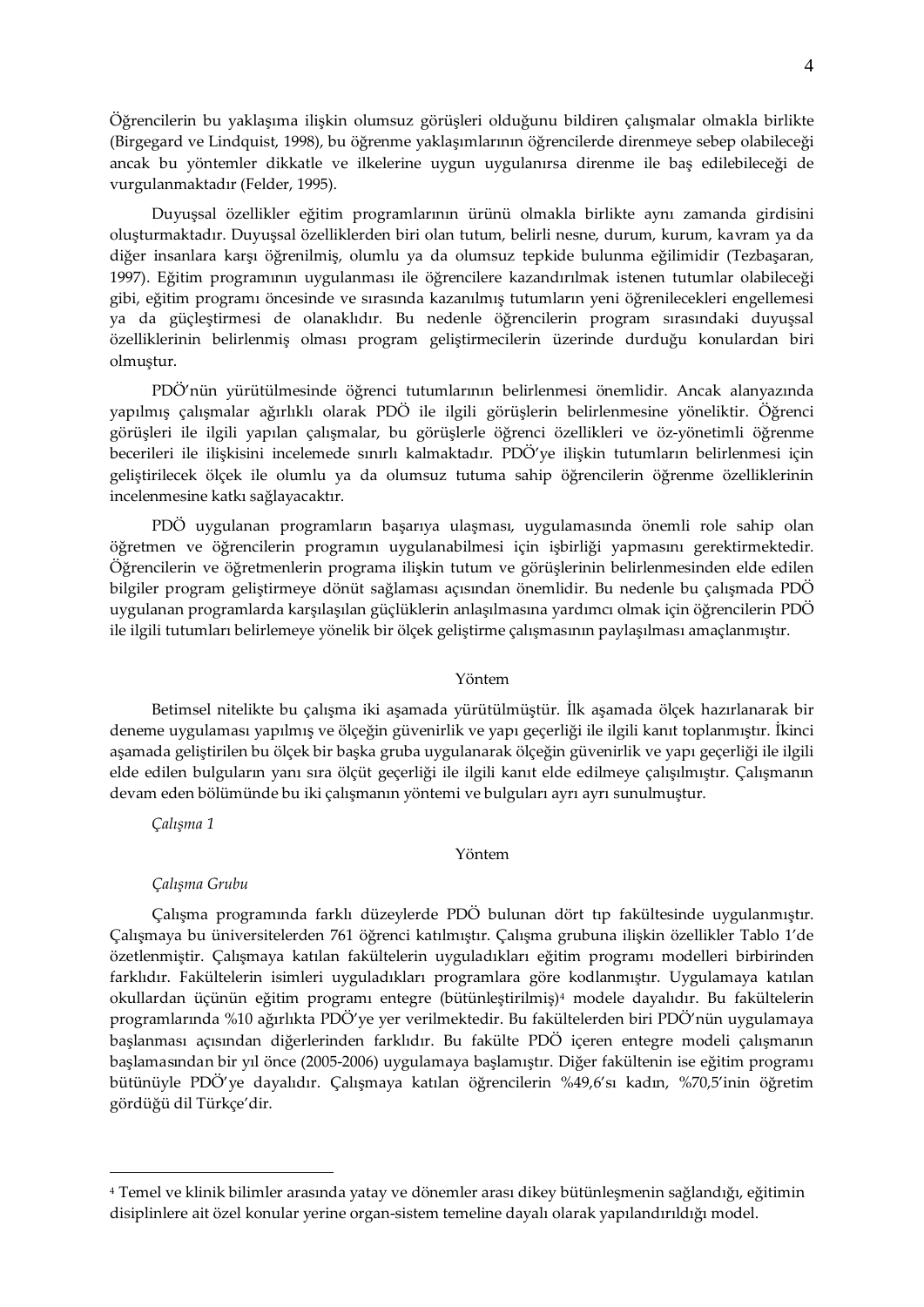Öğrencilerin bu yaklaşıma ilişkin olumsuz görüşleri olduğunu bildiren çalışmalar olmakla birlikte (Birgegard ve Lindquist, 1998), bu öğrenme yaklaşımlarının öğrencilerde direnmeye sebep olabileceği ancak bu yöntemler dikkatle ve ilkelerine uygun uygulanırsa direnme ile baş edilebileceği de vurgulanmaktadır (Felder, 1995).

Duyuşsal özellikler eğitim programlarının ürünü olmakla birlikte aynı zamanda girdisini oluşturmaktadır. Duyuşsal özelliklerden biri olan tutum, belirli nesne, durum, kurum, kavram ya da diğer insanlara karşı öğrenilmiş, olumlu ya da olumsuz tepkide bulunma eğilimidir (Tezbaşaran, 1997). Eğitim programının uygulanması ile öğrencilere kazandırılmak istenen tutumlar olabileceği gibi, eğitim programı öncesinde ve sırasında kazanılmış tutumların yeni öğrenilecekleri engellemesi ya da güçleştirmesi de olanaklıdır. Bu nedenle öğrencilerin program sırasındaki duyuşsal özelliklerinin belirlenmiş olması program geliştirmecilerin üzerinde durduğu konulardan biri olmuştur.

PDÖ'nün yürütülmesinde öğrenci tutumlarının belirlenmesi önemlidir. Ancak alanyazında yapılmış çalışmalar ağırlıklı olarak PDÖ ile ilgili görüşlerin belirlenmesine yöneliktir. Öğrenci görüşleri ile ilgili yapılan çalışmalar, bu görüşlerle öğrenci özellikleri ve öz-yönetimli öğrenme becerileri ile ilişkisini incelemede sınırlı kalmaktadır. PDÖ'ye ilişkin tutumların belirlenmesi için geliştirilecek ölçek ile olumlu ya da olumsuz tutuma sahip öğrencilerin öğrenme özelliklerinin incelenmesine katkı sağlayacaktır.

PDÖ uygulanan programların başarıya ulaşması, uygulamasında önemli role sahip olan öğretmen ve öğrencilerin programın uygulanabilmesi için işbirliği yapmasını gerektirmektedir. Öğrencilerin ve öğretmenlerin programa ilişkin tutum ve görüşlerinin belirlenmesinden elde edilen bilgiler program geliştirmeye dönüt sağlaması açısından önemlidir. Bu nedenle bu çalışmada PDÖ uygulanan programlarda karşılaşılan güçlüklerin anlaşılmasına yardımcı olmak için öğrencilerin PDÖ ile ilgili tutumları belirlemeye yönelik bir ölçek geliştirme çalışmasının paylaşılması amaçlanmıştır.

#### Yöntem

Betimsel nitelikte bu çalışma iki aşamada yürütülmüştür. İlk aşamada ölçek hazırlanarak bir deneme uygulaması yapılmış ve ölçeğin güvenirlik ve yapı geçerliği ile ilgili kanıt toplanmıştır. İkinci aşamada geliştirilen bu ölçek bir başka gruba uygulanarak ölçeğin güvenirlik ve yapı geçerliği ile ilgili elde edilen bulguların yanı sıra ölçüt geçerliği ile ilgili kanıt elde edilmeye çalışılmıştır. Çalışmanın devam eden bölümünde bu iki çalışmanın yöntemi ve bulguları ayrı ayrı sunulmuştur.

*Çalışma 1*

 $\overline{a}$ 

### Yöntem

### *Çalışma Grubu*

Çalışma programında farklı düzeylerde PDÖ bulunan dört tıp fakültesinde uygulanmıştır. Çalışmaya bu üniversitelerden 761 öğrenci katılmıştır. Çalışma grubuna ilişkin özellikler Tablo 1'de özetlenmiştir. Çalışmaya katılan fakültelerin uyguladıkları eğitim programı modelleri birbirinden farklıdır. Fakültelerin isimleri uyguladıkları programlara göre kodlanmıştır. Uygulamaya katılan okullardan üçünün eğitim programı entegre (bütünleştirilmiş)[4](#page-3-0) modele dayalıdır. Bu fakültelerin programlarında %10 ağırlıkta PDÖ'ye yer verilmektedir. Bu fakültelerden biri PDÖ'nün uygulamaya başlanması açısından diğerlerinden farklıdır. Bu fakülte PDÖ içeren entegre modeli çalışmanın başlamasından bir yıl önce (2005-2006) uygulamaya başlamıştır. Diğer fakültenin ise eğitim programı bütünüyle PDÖ'ye dayalıdır. Çalışmaya katılan öğrencilerin %49,6'sı kadın, %70,5'inin öğretim gördüğü dil Türkçe'dir.

<span id="page-3-0"></span><sup>4</sup> Temel ve klinik bilimler arasında yatay ve dönemler arası dikey bütünleşmenin sağlandığı, eğitimin disiplinlere ait özel konular yerine organ-sistem temeline dayalı olarak yapılandırıldığı model.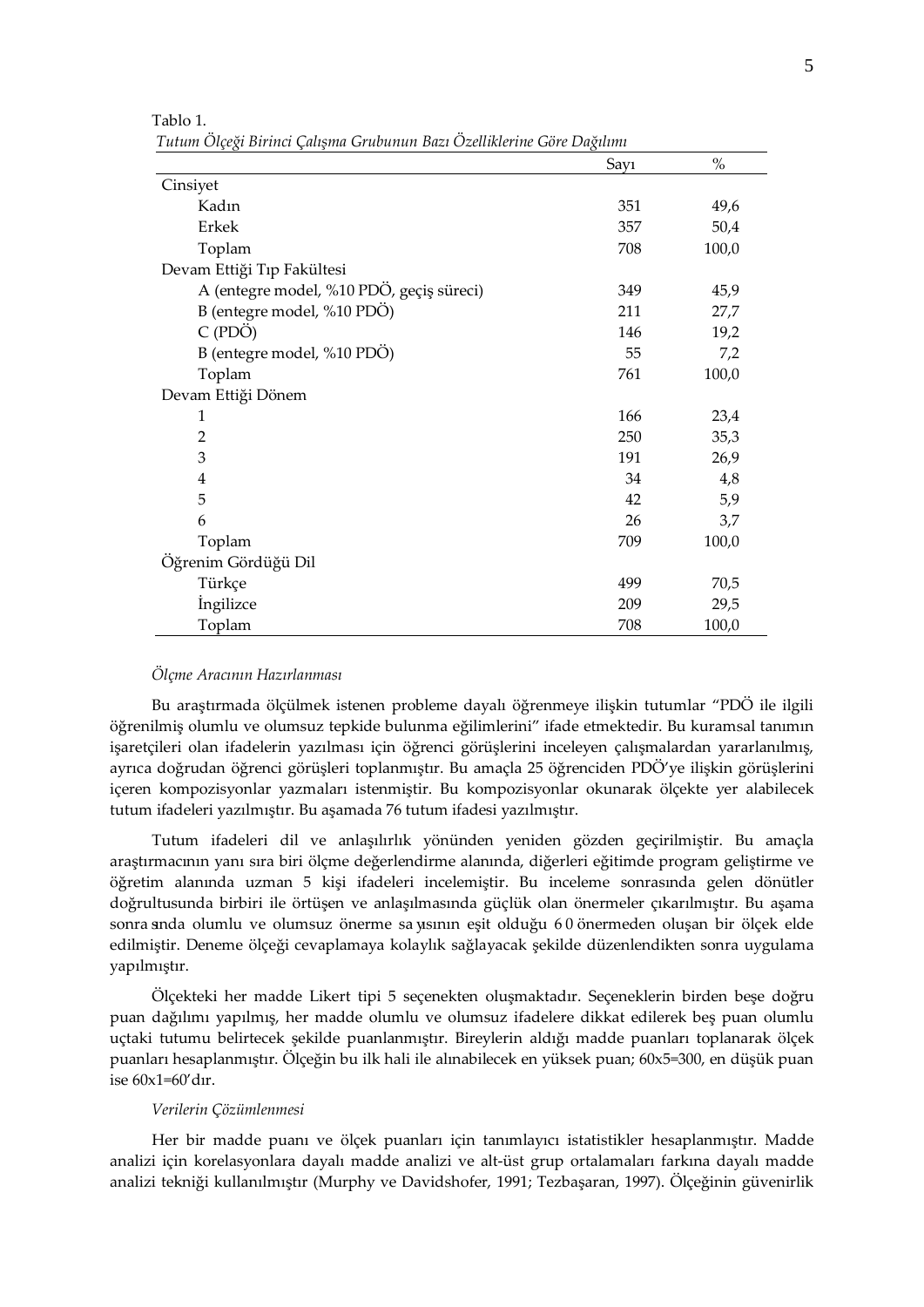|                                          | Say1 | $\%$  |
|------------------------------------------|------|-------|
| Cinsiyet                                 |      |       |
| Kadın                                    | 351  | 49,6  |
| Erkek                                    | 357  | 50,4  |
| Toplam                                   | 708  | 100,0 |
| Devam Ettiği Tıp Fakültesi               |      |       |
| A (entegre model, %10 PDÖ, geçiş süreci) | 349  | 45,9  |
| B (entegre model, %10 PDÖ)               | 211  | 27,7  |
| C(PDÖ)                                   | 146  | 19,2  |
| B (entegre model, %10 PDO)               | 55   | 7,2   |
| Toplam                                   | 761  | 100,0 |
| Devam Ettiği Dönem                       |      |       |
| 1                                        | 166  | 23,4  |
| $\overline{2}$                           | 250  | 35,3  |
| 3                                        | 191  | 26,9  |
| $\overline{4}$                           | 34   | 4,8   |
| 5                                        | 42   | 5,9   |
| 6                                        | 26   | 3,7   |
| Toplam                                   | 709  | 100,0 |
| Öğrenim Gördüğü Dil                      |      |       |
| Türkçe                                   | 499  | 70,5  |
| <i>ingilizce</i>                         | 209  | 29,5  |
| Toplam                                   | 708  | 100,0 |

Tablo 1. *Tutum Ölçeği Birinci Çalışma Grubunun Bazı Özelliklerine Göre Dağılımı*

### *Ölçme Aracının Hazırlanması*

Bu araştırmada ölçülmek istenen probleme dayalı öğrenmeye ilişkin tutumlar "PDÖ ile ilgili öğrenilmiş olumlu ve olumsuz tepkide bulunma eğilimlerini" ifade etmektedir. Bu kuramsal tanımın işaretçileri olan ifadelerin yazılması için öğrenci görüşlerini inceleyen çalışmalardan yararlanılmış, ayrıca doğrudan öğrenci görüşleri toplanmıştır. Bu amaçla 25 öğrenciden PDÖ'ye ilişkin görüşlerini içeren kompozisyonlar yazmaları istenmiştir. Bu kompozisyonlar okunarak ölçekte yer alabilecek tutum ifadeleri yazılmıştır. Bu aşamada 76 tutum ifadesi yazılmıştır.

Tutum ifadeleri dil ve anlaşılırlık yönünden yeniden gözden geçirilmiştir. Bu amaçla araştırmacının yanı sıra biri ölçme değerlendirme alanında, diğerleri eğitimde program geliştirme ve öğretim alanında uzman 5 kişi ifadeleri incelemiştir. Bu inceleme sonrasında gelen dönütler doğrultusunda birbiri ile örtüşen ve anlaşılmasında güçlük olan önermeler çıkarılmıştır. Bu aşama sonra sında olumlu ve olumsuz önerme sa yısının eşit olduğu 60 önermeden oluşan bir ölçek elde edilmiştir. Deneme ölçeği cevaplamaya kolaylık sağlayacak şekilde düzenlendikten sonra uygulama yapılmıştır.

Ölçekteki her madde Likert tipi 5 seçenekten oluşmaktadır. Seçeneklerin birden beşe doğru puan dağılımı yapılmış, her madde olumlu ve olumsuz ifadelere dikkat edilerek beş puan olumlu uçtaki tutumu belirtecek şekilde puanlanmıştır. Bireylerin aldığı madde puanları toplanarak ölçek puanları hesaplanmıştır. Ölçeğin bu ilk hali ile alınabilecek en yüksek puan; 60x5=300, en düşük puan ise 60x1=60'dır.

## *Verilerin Çözümlenmesi*

Her bir madde puanı ve ölçek puanları için tanımlayıcı istatistikler hesaplanmıştır. Madde analizi için korelasyonlara dayalı madde analizi ve alt-üst grup ortalamaları farkına dayalı madde analizi tekniği kullanılmıştır (Murphy ve Davidshofer, 1991; Tezbaşaran, 1997). Ölçeğinin güvenirlik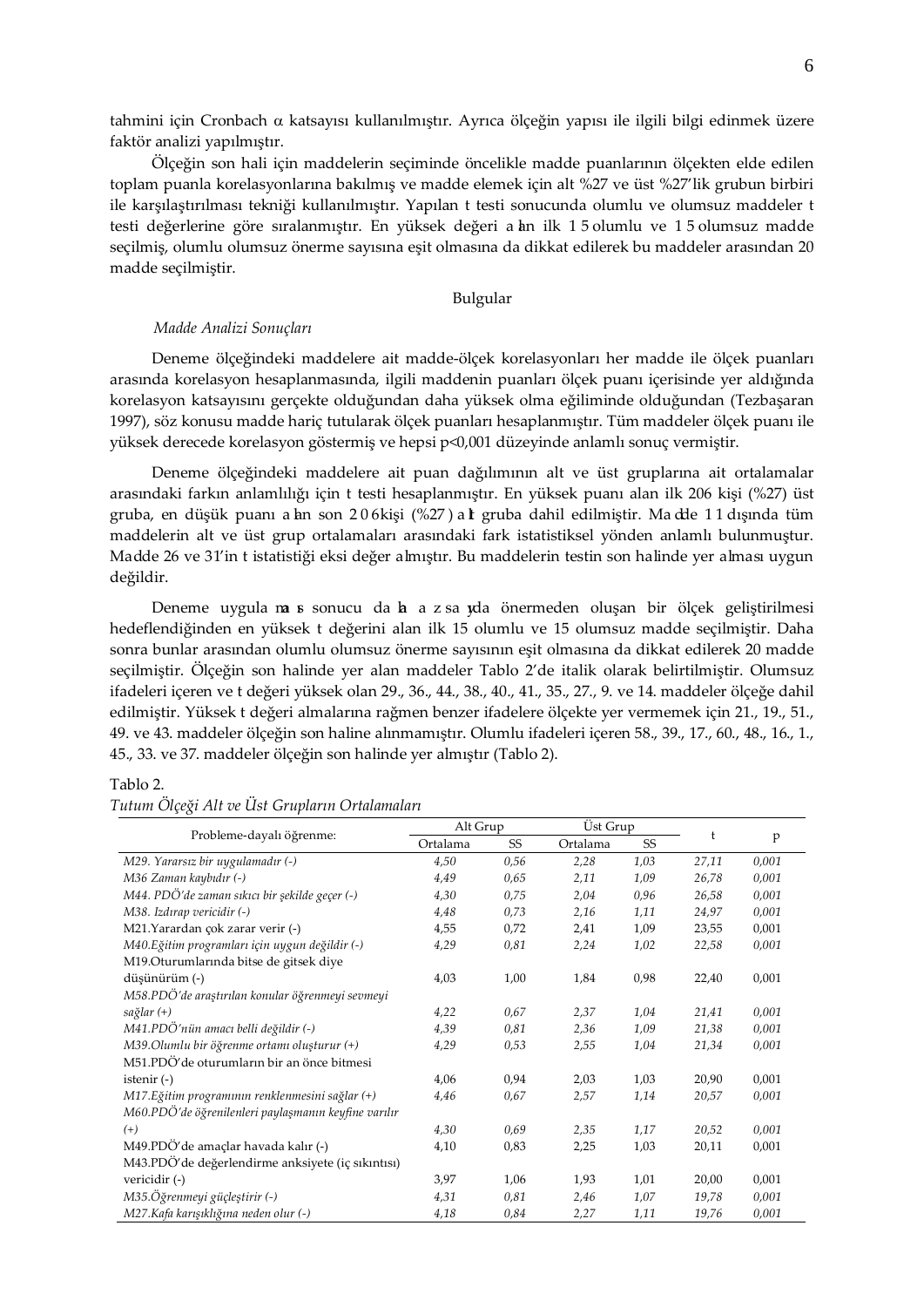tahmini için Cronbach α katsayısı kullanılmıştır. Ayrıca ölçeğin yapısı ile ilgili bilgi edinmek üzere faktör analizi yapılmıştır.

Ölçeğin son hali için maddelerin seçiminde öncelikle madde puanlarının ölçekten elde edilen toplam puanla korelasyonlarına bakılmış ve madde elemek için alt %27 ve üst %27'lik grubun birbiri ile karşılaştırılması tekniği kullanılmıştır. Yapılan t testi sonucunda olumlu ve olumsuz maddeler t testi değerlerine göre sıralanmıştır. En yüksek değeri a lan ilk 1 5 olumlu ve 1 5 olumsuz madde seçilmiş, olumlu olumsuz önerme sayısına eşit olmasına da dikkat edilerek bu maddeler arasından 20 madde seçilmiştir.

# Bulgular

### *Madde Analizi Sonuçları*

Deneme ölçeğindeki maddelere ait madde-ölçek korelasyonları her madde ile ölçek puanları arasında korelasyon hesaplanmasında, ilgili maddenin puanları ölçek puanı içerisinde yer aldığında korelasyon katsayısını gerçekte olduğundan daha yüksek olma eğiliminde olduğundan (Tezbaşaran 1997), söz konusu madde hariç tutularak ölçek puanları hesaplanmıştır. Tüm maddeler ölçek puanı ile yüksek derecede korelasyon göstermiş ve hepsi p<0,001 düzeyinde anlamlı sonuç vermiştir.

Deneme ölçeğindeki maddelere ait puan dağılımının alt ve üst gruplarına ait ortalamalar arasındaki farkın anlamlılığı için t testi hesaplanmıştır. En yüksek puanı alan ilk 206 kişi (%27) üst gruba, en düşük puanı a lan son 206 kişi (%27) a lt gruba dahil edilmiştir. Ma dde 11 dışında tüm maddelerin alt ve üst grup ortalamaları arasındaki fark istatistiksel yönden anlamlı bulunmuştur. Madde 26 ve 31'in t istatistiği eksi değer almıştır. Bu maddelerin testin son halinde yer alması uygun değildir.

Deneme uygula ma s sonucu da ha z sa yda önermeden oluşan bir ölçek geliştirilmesi hedeflendiğinden en yüksek t değerini alan ilk 15 olumlu ve 15 olumsuz madde seçilmiştir. Daha sonra bunlar arasından olumlu olumsuz önerme sayısının eşit olmasına da dikkat edilerek 20 madde seçilmiştir. Ölçeğin son halinde yer alan maddeler Tablo 2'de italik olarak belirtilmiştir. Olumsuz ifadeleri içeren ve t değeri yüksek olan 29., 36., 44., 38., 40., 41., 35., 27., 9. ve 14. maddeler ölçeğe dahil edilmiştir. Yüksek t değeri almalarına rağmen benzer ifadelere ölçekte yer vermemek için 21., 19., 51., 49. ve 43. maddeler ölçeğin son haline alınmamıştır. Olumlu ifadeleri içeren 58., 39., 17., 60., 48., 16., 1., 45., 33. ve 37. maddeler ölçeğin son halinde yer almıştır (Tablo 2).

### Tablo 2.

| Probleme-dayalı öğrenme:                             | Alt Grup |      | <b>Ust Grup</b> |      |       |       |  |
|------------------------------------------------------|----------|------|-----------------|------|-------|-------|--|
|                                                      | Ortalama | SS   | Ortalama        | SS   |       | p     |  |
| M29. Yararsız bir uygulamadır (-)                    | 4,50     | 0,56 | 2,28            | 1,03 | 27,11 | 0,001 |  |
| M36 Zaman kaybıdır (-)                               | 4,49     | 0,65 | 2,11            | 1,09 | 26,78 | 0,001 |  |
| M44. PDÖ'de zaman sıkıcı bir şekilde geçer (-)       | 4,30     | 0,75 | 2,04            | 0,96 | 26,58 | 0,001 |  |
| M38. Izdırap vericidir (-)                           | 4,48     | 0,73 | 2,16            | 1,11 | 24,97 | 0,001 |  |
| M21.Yarardan çok zarar verir (-)                     | 4,55     | 0,72 | 2,41            | 1,09 | 23,55 | 0,001 |  |
| M40. Eğitim programları için uygun değildir (-)      | 4,29     | 0,81 | 2,24            | 1,02 | 22,58 | 0,001 |  |
| M19.Oturumlarında bitse de gitsek diye               |          |      |                 |      |       |       |  |
| düşünürüm (-)                                        | 4,03     | 1,00 | 1,84            | 0,98 | 22,40 | 0,001 |  |
| M58.PDÖ'de araştırılan konular öğrenmeyi sevmeyi     |          |      |                 |      |       |       |  |
| sağlar (+)                                           | 4,22     | 0,67 | 2,37            | 1,04 | 21,41 | 0,001 |  |
| M41.PDÖ'nün amacı belli değildir (-)                 | 4,39     | 0,81 | 2,36            | 1,09 | 21,38 | 0,001 |  |
| $M39.$ Olumlu bir öğrenme ortamı oluşturur $(+)$     | 4,29     | 0,53 | 2,55            | 1,04 | 21,34 | 0,001 |  |
| M51.PDÖ'de oturumların bir an önce bitmesi           |          |      |                 |      |       |       |  |
| istenir $(-)$                                        | 4,06     | 0,94 | 2,03            | 1,03 | 20,90 | 0,001 |  |
| M17. Eğitim programının renklenmesini sağlar (+)     | 4,46     | 0,67 | 2,57            | 1,14 | 20,57 | 0,001 |  |
| M60.PDÖ'de öğrenilenleri paylaşmanın keyfine varılır |          |      |                 |      |       |       |  |
| $^{(+)}$                                             | 4,30     | 0,69 | 2,35            | 1,17 | 20,52 | 0,001 |  |
| M49.PDÖ'de amaçlar havada kalır (-)                  | 4,10     | 0,83 | 2,25            | 1,03 | 20,11 | 0,001 |  |
| M43.PDÖ'de değerlendirme anksiyete (iç sıkıntısı)    |          |      |                 |      |       |       |  |
| vericidir (-)                                        | 3,97     | 1,06 | 1,93            | 1,01 | 20,00 | 0,001 |  |
| M35.Öğrenmeyi güçleştirir (-)                        | 4,31     | 0,81 | 2,46            | 1,07 | 19,78 | 0,001 |  |
| M27.Kafa karışıklığına neden olur (-)                | 4,18     | 0,84 | 2,27            | 1,11 | 19,76 | 0,001 |  |

## *Tutum Ölçeği Alt ve Üst Grupların Ortalamaları*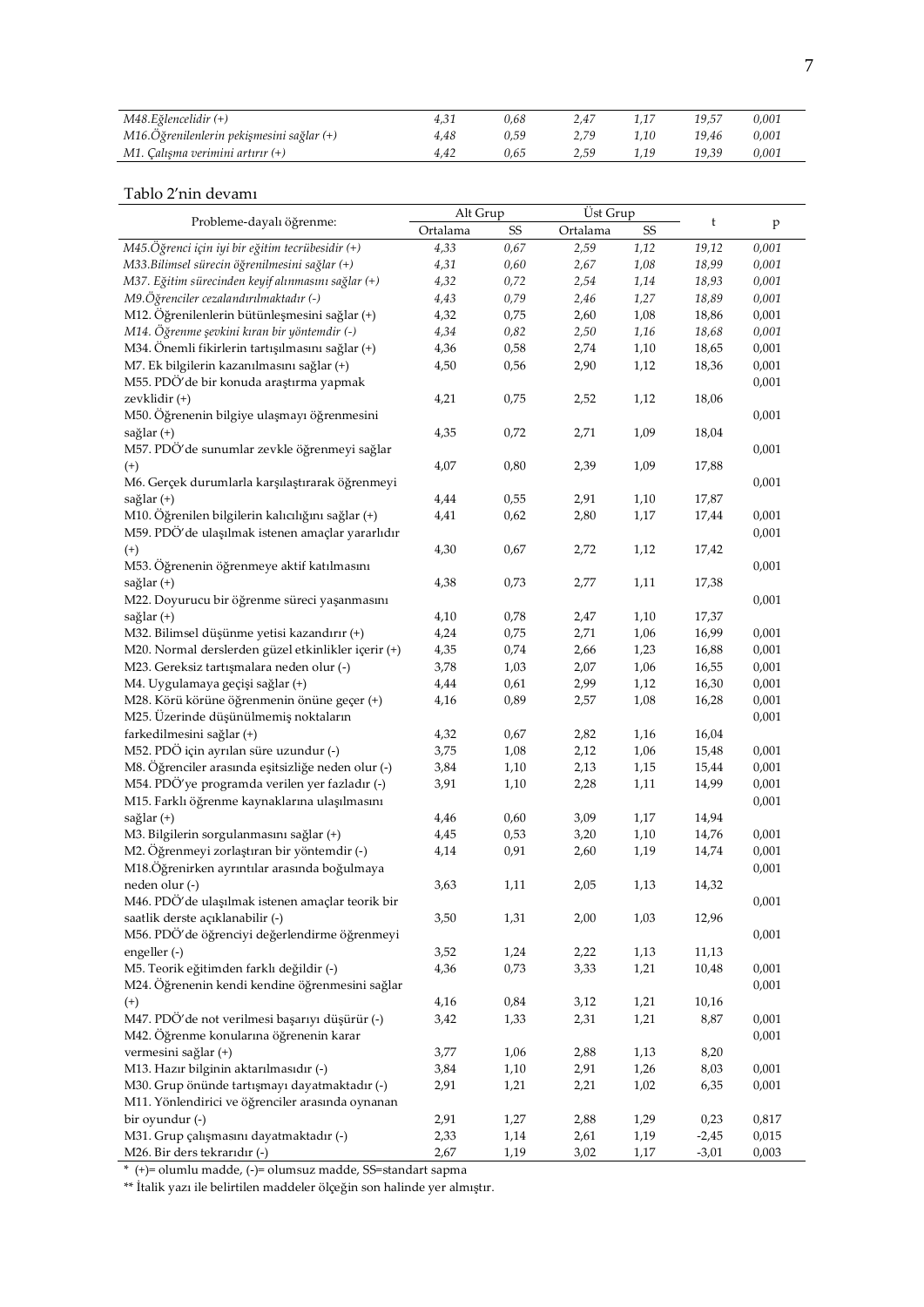| M48.Eğlencelidir (+)                      |      | 0.68 | 2.47 |      | 19.57 | 0.001 |
|-------------------------------------------|------|------|------|------|-------|-------|
| M16.Öğrenilenlerin pekişmesini sağlar (+) | 4.48 | 0.59 | 2.79 | 1.10 | 19.46 | 0.001 |
| M1. Calısma verimini artırır (+)          | 4.42 | 0.65 | 2.59 |      | 19.39 | 0.001 |

# Tablo 2'nin devamı

|                                                     | Alt Grup |      | Üst Grup |      |         |              |  |
|-----------------------------------------------------|----------|------|----------|------|---------|--------------|--|
| Probleme-dayalı öğrenme:                            | Ortalama | SS   | Ortalama | SS   | t       | $\mathbf{p}$ |  |
| M45.Öğrenci için iyi bir eğitim tecrübesidir (+)    | 4,33     | 0,67 | 2,59     | 1,12 | 19,12   | 0,001        |  |
| M33. Bilimsel sürecin öğrenilmesini sağlar (+)      | 4,31     | 0,60 | 2,67     | 1,08 | 18,99   | 0,001        |  |
| M37. Eğitim sürecinden keyif alınmasını sağlar (+)  | 4,32     | 0,72 | 2,54     | 1,14 | 18,93   | 0,001        |  |
| M9.Öğrenciler cezalandırılmaktadır (-)              | 4,43     | 0,79 | 2,46     | 1,27 | 18,89   | 0,001        |  |
| M12. Öğrenilenlerin bütünleşmesini sağlar (+)       | 4,32     | 0,75 | 2,60     | 1,08 | 18,86   | 0,001        |  |
| M14. Öğrenme şevkini kıran bir yöntemdir (-)        | 4,34     | 0,82 | 2,50     | 1,16 | 18,68   | 0,001        |  |
| M34. Önemli fikirlerin tartışılmasını sağlar (+)    | 4,36     | 0,58 | 2,74     | 1,10 | 18,65   | 0,001        |  |
| M7. Ek bilgilerin kazanılmasını sağlar (+)          | 4,50     | 0,56 | 2,90     | 1,12 | 18,36   | 0,001        |  |
| M55. PDÖ'de bir konuda araştırma yapmak             |          |      |          |      |         | 0,001        |  |
| zevklidir (+)                                       | 4,21     | 0,75 | 2,52     | 1,12 | 18,06   |              |  |
| M50. Öğrenenin bilgiye ulaşmayı öğrenmesini         |          |      |          |      |         | 0,001        |  |
| sağlar (+)                                          | 4,35     | 0,72 | 2,71     | 1,09 | 18,04   |              |  |
| M57. PDÖ'de sunumlar zevkle öğrenmeyi sağlar        |          |      |          |      |         | 0,001        |  |
| $^{(+)}$                                            | 4,07     | 0,80 | 2,39     | 1,09 | 17,88   |              |  |
| M6. Gerçek durumlarla karşılaştırarak öğrenmeyi     |          |      |          |      |         | 0,001        |  |
| sağlar (+)                                          | 4,44     | 0,55 | 2,91     | 1,10 | 17,87   |              |  |
| M10. Öğrenilen bilgilerin kalıcılığını sağlar (+)   | 4,41     | 0,62 | 2,80     | 1,17 | 17,44   | 0,001        |  |
| M59. PDÖ'de ulaşılmak istenen amaçlar yararlıdır    |          |      |          |      |         | 0,001        |  |
| $^{(+)}$                                            | 4,30     | 0,67 | 2,72     | 1,12 | 17,42   |              |  |
| M53. Öğrenenin öğrenmeye aktif katılmasını          |          |      |          |      |         | 0,001        |  |
| sağlar (+)                                          | 4,38     | 0,73 | 2,77     | 1,11 | 17,38   |              |  |
| M22. Doyurucu bir öğrenme süreci yaşanmasını        |          |      |          |      |         | 0,001        |  |
| sağlar (+)                                          | 4,10     | 0,78 | 2,47     | 1,10 | 17,37   |              |  |
| M32. Bilimsel düşünme yetisi kazandırır (+)         | 4,24     | 0,75 | 2,71     | 1,06 | 16,99   | 0,001        |  |
| M20. Normal derslerden güzel etkinlikler içerir (+) | 4,35     | 0,74 | 2,66     | 1,23 | 16,88   | 0,001        |  |
| M23. Gereksiz tartışmalara neden olur (-)           | 3,78     | 1,03 | 2,07     | 1,06 | 16,55   | 0,001        |  |
| M4. Uygulamaya geçişi sağlar (+)                    | 4,44     | 0,61 | 2,99     | 1,12 | 16,30   | 0,001        |  |
| M28. Körü körüne öğrenmenin önüne geçer (+)         | 4,16     | 0,89 | 2,57     | 1,08 |         | 0,001        |  |
| M25. Üzerinde düşünülmemiş noktaların               |          |      |          |      | 16,28   |              |  |
|                                                     |          |      |          |      |         | 0,001        |  |
| farkedilmesini sağlar (+)                           | 4,32     | 0,67 | 2,82     | 1,16 | 16,04   |              |  |
| M52. PDÖ için ayrılan süre uzundur (-)              | 3,75     | 1,08 | 2,12     | 1,06 | 15,48   | 0,001        |  |
| M8. Öğrenciler arasında eşitsizliğe neden olur (-)  | 3,84     | 1,10 | 2,13     | 1,15 | 15,44   | 0,001        |  |
| M54. PDÖ'ye programda verilen yer fazladır (-)      | 3,91     | 1,10 | 2,28     | 1,11 | 14,99   | 0,001        |  |
| M15. Farklı öğrenme kaynaklarına ulaşılmasını       |          |      |          |      |         | 0,001        |  |
| sağlar (+)                                          | 4,46     | 0,60 | 3,09     | 1,17 | 14,94   |              |  |
| M3. Bilgilerin sorgulanmasını sağlar (+)            | 4,45     | 0,53 | 3,20     | 1,10 | 14,76   | 0,001        |  |
| M2. Öğrenmeyi zorlaştıran bir yöntemdir (-)         | 4,14     | 0,91 | 2,60     | 1,19 | 14,74   | 0,001        |  |
| M18.Öğrenirken ayrıntılar arasında boğulmaya        |          |      |          |      |         | 0,001        |  |
| neden olur (-)                                      | 3,63     | 1,11 | 2,05     | 1,13 | 14,32   |              |  |
| M46. PDÖ'de ulaşılmak istenen amaçlar teorik bir    |          |      |          |      |         | 0,001        |  |
| saatlik derste açıklanabilir (-)                    | 3,50     | 1,31 | 2,00     | 1,03 | 12,96   |              |  |
| M56. PDÖ'de öğrenciyi değerlendirme öğrenmeyi       |          |      |          |      |         | 0,001        |  |
| engeller (-)                                        | 3,52     | 1,24 | 2,22     | 1,13 | 11,13   |              |  |
| M5. Teorik eğitimden farklı değildir (-)            | 4,36     | 0,73 | 3,33     | 1,21 | 10,48   | 0,001        |  |
| M24. Öğrenenin kendi kendine öğrenmesini sağlar     |          |      |          |      |         | 0,001        |  |
| $^{(+)}$                                            | 4,16     | 0,84 | 3,12     | 1,21 | 10,16   |              |  |
| M47. PDÖ'de not verilmesi başarıyı düşürür (-)      | 3,42     | 1,33 | 2,31     | 1,21 | 8,87    | 0,001        |  |
| M42. Öğrenme konularına öğrenenin karar             |          |      |          |      |         | 0,001        |  |
| vermesini sağlar (+)                                | 3,77     | 1,06 | 2,88     | 1,13 | 8,20    |              |  |
| M13. Hazır bilginin aktarılmasıdır (-)              | 3,84     | 1,10 | 2,91     | 1,26 | 8,03    | 0,001        |  |
| M30. Grup önünde tartışmayı dayatmaktadır (-)       | 2,91     | 1,21 | 2,21     | 1,02 | 6,35    | 0,001        |  |
| M11. Yönlendirici ve öğrenciler arasında oynanan    |          |      |          |      |         |              |  |
| bir oyundur (-)                                     | 2,91     | 1,27 | 2,88     | 1,29 | 0,23    | 0,817        |  |
| M31. Grup çalışmasını dayatmaktadır (-)             | 2,33     | 1,14 | 2,61     | 1,19 | $-2,45$ | 0,015        |  |
| M26. Bir ders tekrarıdır (-)                        | 2,67     | 1,19 | 3,02     | 1,17 | $-3,01$ | 0,003        |  |

\* (+)= olumlu madde, (-)= olumsuz madde, SS=standart sapma

\*\* İtalik yazı ile belirtilen maddeler ölçeğin son halinde yer almıştır.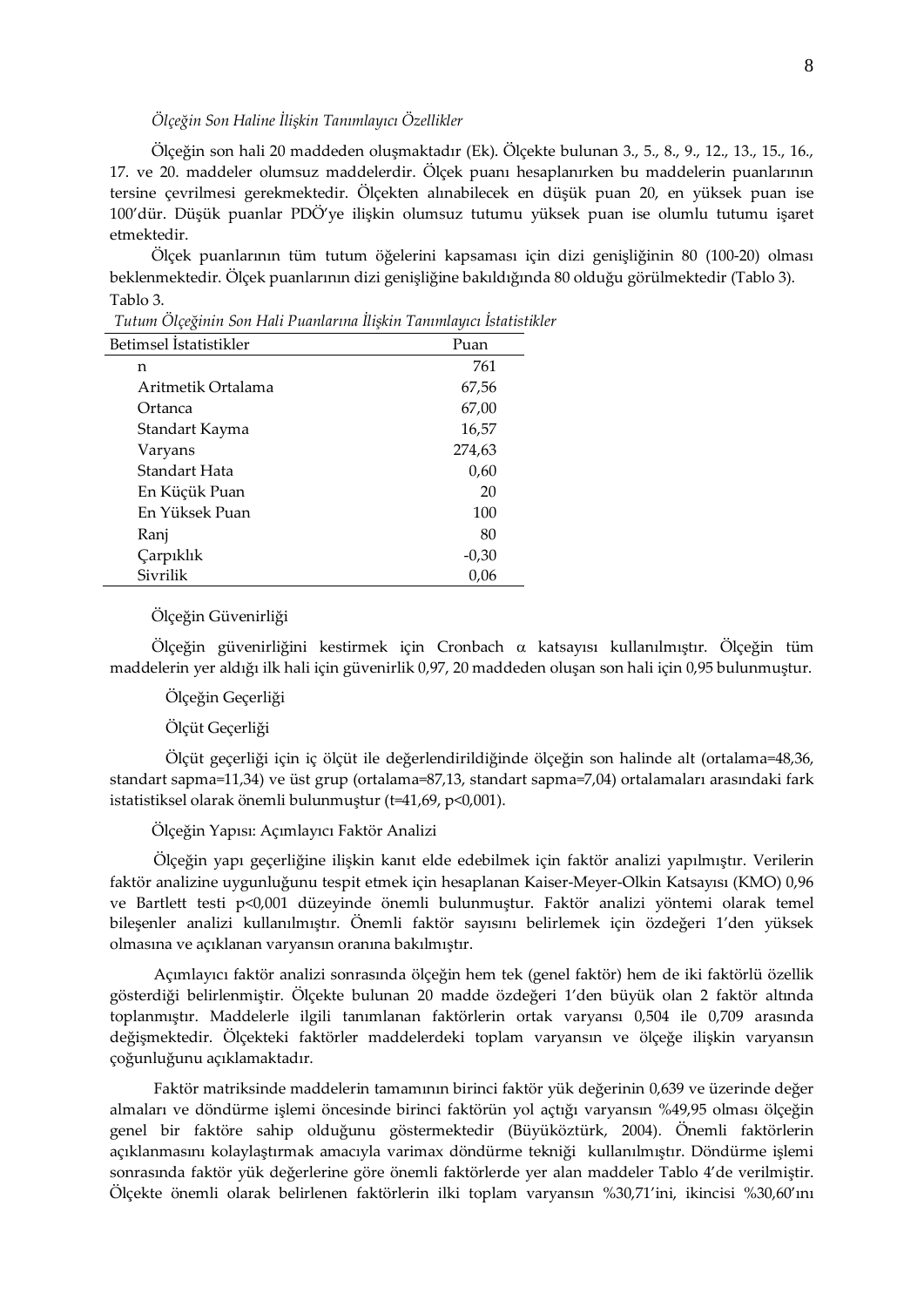# *Ölçeğin Son Haline İlişkin Tanımlayıcı Özellikler*

Ölçeğin son hali 20 maddeden oluşmaktadır (Ek). Ölçekte bulunan 3., 5., 8., 9., 12., 13., 15., 16., 17. ve 20. maddeler olumsuz maddelerdir. Ölçek puanı hesaplanırken bu maddelerin puanlarının tersine çevrilmesi gerekmektedir. Ölçekten alınabilecek en düşük puan 20, en yüksek puan ise 100'dür. Düşük puanlar PDÖ'ye ilişkin olumsuz tutumu yüksek puan ise olumlu tutumu işaret etmektedir.

Ölçek puanlarının tüm tutum öğelerini kapsaması için dizi genişliğinin 80 (100-20) olması beklenmektedir. Ölçek puanlarının dizi genişliğine bakıldığında 80 olduğu görülmektedir (Tablo 3). Tablo 3.

| Betimsel Istatistikler | Puan    |
|------------------------|---------|
| n                      | 761     |
| Aritmetik Ortalama     | 67,56   |
| Ortanca                | 67,00   |
| Standart Kayma         | 16,57   |
| Varyans                | 274,63  |
| Standart Hata          | 0,60    |
| En Küçük Puan          | 20      |
| En Yüksek Puan         | 100     |
| Ranj                   | 80      |
| Çarpıklık              | $-0,30$ |
| Sivrilik               | 0,06    |

*Tutum Ölçeğinin Son Hali Puanlarına İlişkin Tanımlayıcı İstatistikler* 

### Ölçeğin Güvenirliği

Ölçeğin güvenirliğini kestirmek için Cronbach α katsayısı kullanılmıştır. Ölçeğin tüm maddelerin yer aldığı ilk hali için güvenirlik 0,97, 20 maddeden oluşan son hali için 0,95 bulunmuştur.

### Ölçeğin Geçerliği

### Ölçüt Geçerliği

Ölçüt geçerliği için iç ölçüt ile değerlendirildiğinde ölçeğin son halinde alt (ortalama=48,36, standart sapma=11,34) ve üst grup (ortalama=87,13, standart sapma=7,04) ortalamaları arasındaki fark istatistiksel olarak önemli bulunmuştur (t=41,69, p<0,001).

### Ölçeğin Yapısı: Açımlayıcı Faktör Analizi

Ölçeğin yapı geçerliğine ilişkin kanıt elde edebilmek için faktör analizi yapılmıştır. Verilerin faktör analizine uygunluğunu tespit etmek için hesaplanan Kaiser-Meyer-Olkin Katsayısı (KMO) 0,96 ve Bartlett testi p<0,001 düzeyinde önemli bulunmuştur. Faktör analizi yöntemi olarak temel bileşenler analizi kullanılmıştır. Önemli faktör sayısını belirlemek için özdeğeri 1'den yüksek olmasına ve açıklanan varyansın oranına bakılmıştır.

Açımlayıcı faktör analizi sonrasında ölçeğin hem tek (genel faktör) hem de iki faktörlü özellik gösterdiği belirlenmiştir. Ölçekte bulunan 20 madde özdeğeri 1'den büyük olan 2 faktör altında toplanmıştır. Maddelerle ilgili tanımlanan faktörlerin ortak varyansı 0,504 ile 0,709 arasında değişmektedir. Ölçekteki faktörler maddelerdeki toplam varyansın ve ölçeğe ilişkin varyansın çoğunluğunu açıklamaktadır.

Faktör matriksinde maddelerin tamamının birinci faktör yük değerinin 0,639 ve üzerinde değer almaları ve döndürme işlemi öncesinde birinci faktörün yol açtığı varyansın %49,95 olması ölçeğin genel bir faktöre sahip olduğunu göstermektedir (Büyüköztürk, 2004). Önemli faktörlerin açıklanmasını kolaylaştırmak amacıyla varimax döndürme tekniği kullanılmıştır. Döndürme işlemi sonrasında faktör yük değerlerine göre önemli faktörlerde yer alan maddeler Tablo 4'de verilmiştir. Ölçekte önemli olarak belirlenen faktörlerin ilki toplam varyansın %30,71'ini, ikincisi %30,60'ını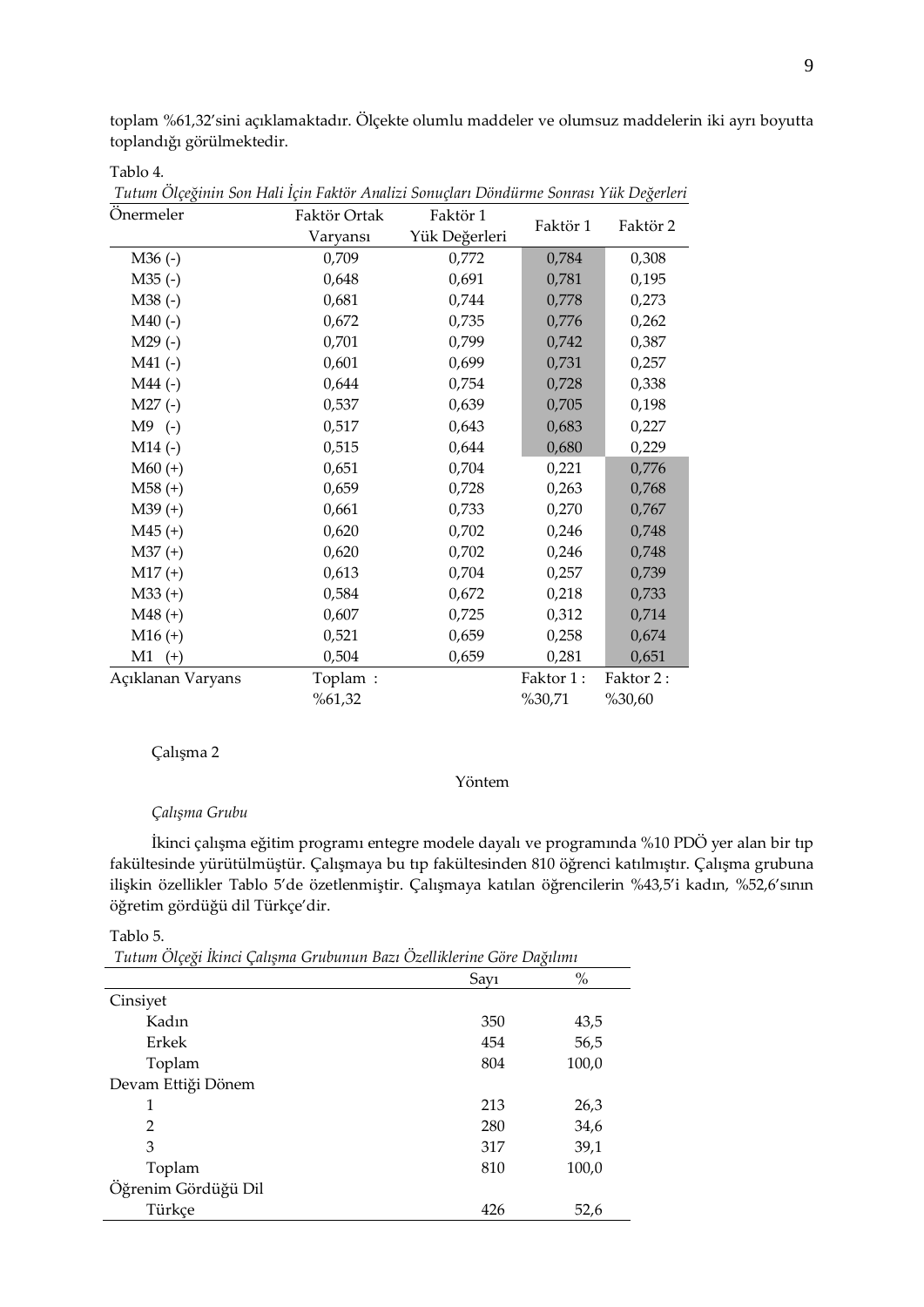toplam %61,32'sini açıklamaktadır. Ölçekte olumlu maddeler ve olumsuz maddelerin iki ayrı boyutta toplandığı görülmektedir.

Tablo 4*.*

| Onermeler         | Faktör Ortak | Faktör 1      |           |           |
|-------------------|--------------|---------------|-----------|-----------|
|                   | Varyansı     | Yük Değerleri | Faktör 1  | Faktör 2  |
| $M36(-)$          | 0,709        | 0,772         | 0,784     | 0,308     |
| $M35$ (-)         | 0,648        | 0,691         | 0,781     | 0,195     |
| M38(-)            | 0,681        | 0,744         | 0,778     | 0,273     |
| $M40$ (-)         | 0,672        | 0,735         | 0,776     | 0,262     |
| $M29$ (-)         | 0,701        | 0,799         | 0,742     | 0,387     |
| $M41$ (-)         | 0,601        | 0,699         | 0,731     | 0,257     |
| $M44$ (-)         | 0,644        | 0,754         | 0,728     | 0,338     |
| $M27(-)$          | 0,537        | 0,639         | 0,705     | 0,198     |
| $M9$ (-)          | 0,517        | 0,643         | 0,683     | 0,227     |
| $M14$ (-)         | 0,515        | 0,644         | 0,680     | 0,229     |
| $M60 (+)$         | 0,651        | 0,704         | 0,221     | 0,776     |
| $M58 (+)$         | 0,659        | 0,728         | 0,263     | 0,768     |
| $M39 (+)$         | 0,661        | 0,733         | 0,270     | 0,767     |
| $M45 (+)$         | 0,620        | 0,702         | 0,246     | 0,748     |
| $M37 (+)$         | 0,620        | 0,702         | 0,246     | 0,748     |
| $M17 (+)$         | 0,613        | 0,704         | 0,257     | 0,739     |
| $M33 (+)$         | 0,584        | 0,672         | 0,218     | 0,733     |
| $M48 (+)$         | 0,607        | 0,725         | 0,312     | 0,714     |
| $M16 (+)$         | 0,521        | 0,659         | 0,258     | 0,674     |
| $M1$ (+)          | 0,504        | 0,659         | 0,281     | 0,651     |
| Açıklanan Varyans | Toplam:      |               | Faktor 1: | Faktor 2: |
|                   | %61,32       |               | %30,71    | %30,60    |

*Tutum Ölçeğinin Son Hali İçin Faktör Analizi Sonuçları Döndürme Sonrası Yük Değerleri*

### Çalışma 2

# Yöntem

# *Çalışma Grubu*

İkinci çalışma eğitim programı entegre modele dayalı ve programında %10 PDÖ yer alan bir tıp fakültesinde yürütülmüştür. Çalışmaya bu tıp fakültesinden 810 öğrenci katılmıştır. Çalışma grubuna ilişkin özellikler Tablo 5'de özetlenmiştir. Çalışmaya katılan öğrencilerin %43,5'i kadın, %52,6'sının öğretim gördüğü dil Türkçe'dir.

#### Tablo 5.

*Tutum Ölçeği İkinci Çalışma Grubunun Bazı Özelliklerine Göre Dağılımı*

|                     | Say1 | $\%$  |
|---------------------|------|-------|
| Cinsiyet            |      |       |
| Kadın               | 350  | 43,5  |
| Erkek               | 454  | 56,5  |
| Toplam              | 804  | 100,0 |
| Devam Ettiği Dönem  |      |       |
| 1                   | 213  | 26,3  |
| $\overline{2}$      | 280  | 34,6  |
| 3                   | 317  | 39,1  |
| Toplam              | 810  | 100,0 |
| Öğrenim Gördüğü Dil |      |       |
| Türkçe              | 426  | 52,6  |
|                     |      |       |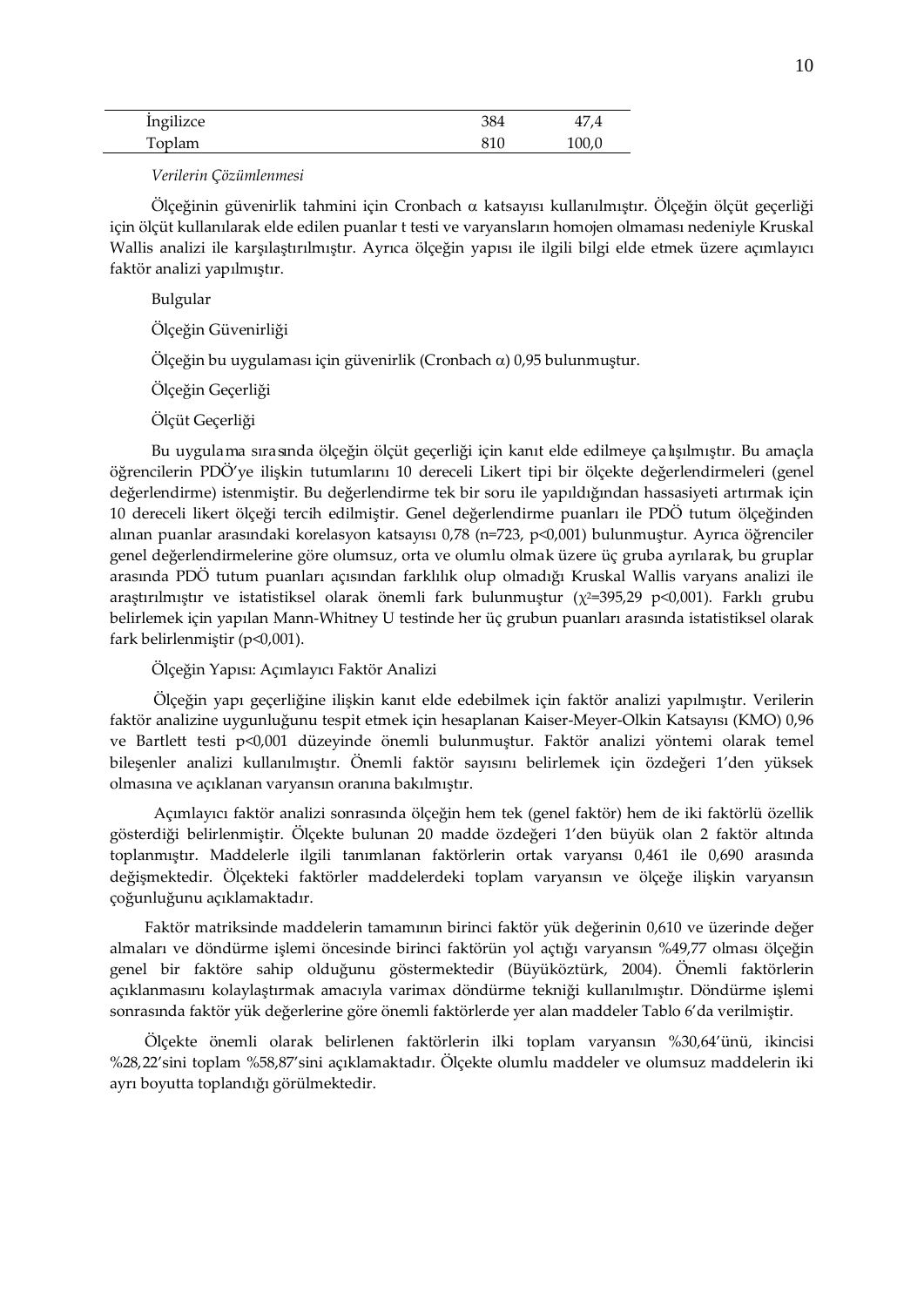| Ingilizce | 384 | T/     |
|-----------|-----|--------|
| Toplam    | 810 | 100, C |

*Verilerin Çözümlenmesi*

Ölçeğinin güvenirlik tahmini için Cronbach α katsayısı kullanılmıştır. Ölçeğin ölçüt geçerliği için ölçüt kullanılarak elde edilen puanlar t testi ve varyansların homojen olmaması nedeniyle Kruskal Wallis analizi ile karşılaştırılmıştır. Ayrıca ölçeğin yapısı ile ilgili bilgi elde etmek üzere açımlayıcı faktör analizi yapılmıştır.

Bulgular

Ölçeğin Güvenirliği

Ölçeğin bu uygulaması için güvenirlik (Cronbach α) 0,95 bulunmuştur.

Ölçeğin Geçerliği

Ölçüt Geçerliği

Bu uygulama sırasında ölçeğin ölçüt geçerliği için kanıt elde edilmeye çalışılmıştır. Bu amaçla öğrencilerin PDÖ'ye ilişkin tutumlarını 10 dereceli Likert tipi bir ölçekte değerlendirmeleri (genel değerlendirme) istenmiştir. Bu değerlendirme tek bir soru ile yapıldığından hassasiyeti artırmak için 10 dereceli likert ölçeği tercih edilmiştir. Genel değerlendirme puanları ile PDÖ tutum ölçeğinden alınan puanlar arasındaki korelasyon katsayısı 0,78 (n=723, p<0,001) bulunmuştur. Ayrıca öğrenciler genel değerlendirmelerine göre olumsuz, orta ve olumlu olmak üzere üç gruba ayrılarak, bu gruplar arasında PDÖ tutum puanları açısından farklılık olup olmadığı Kruskal Wallis varyans analizi ile araştırılmıştır ve istatistiksel olarak önemli fark bulunmuştur ( $\chi^2$ =395,29 p<0,001). Farklı grubu belirlemek için yapılan Mann-Whitney U testinde her üç grubun puanları arasında istatistiksel olarak fark belirlenmiştir (p<0,001).

Ölçeğin Yapısı: Açımlayıcı Faktör Analizi

Ölçeğin yapı geçerliğine ilişkin kanıt elde edebilmek için faktör analizi yapılmıştır. Verilerin faktör analizine uygunluğunu tespit etmek için hesaplanan Kaiser-Meyer-Olkin Katsayısı (KMO) 0,96 ve Bartlett testi p<0,001 düzeyinde önemli bulunmuştur. Faktör analizi yöntemi olarak temel bileşenler analizi kullanılmıştır. Önemli faktör sayısını belirlemek için özdeğeri 1'den yüksek olmasına ve açıklanan varyansın oranına bakılmıştır.

Açımlayıcı faktör analizi sonrasında ölçeğin hem tek (genel faktör) hem de iki faktörlü özellik gösterdiği belirlenmiştir. Ölçekte bulunan 20 madde özdeğeri 1'den büyük olan 2 faktör altında toplanmıştır. Maddelerle ilgili tanımlanan faktörlerin ortak varyansı 0,461 ile 0,690 arasında değişmektedir. Ölçekteki faktörler maddelerdeki toplam varyansın ve ölçeğe ilişkin varyansın çoğunluğunu açıklamaktadır.

Faktör matriksinde maddelerin tamamının birinci faktör yük değerinin 0,610 ve üzerinde değer almaları ve döndürme işlemi öncesinde birinci faktörün yol açtığı varyansın %49,77 olması ölçeğin genel bir faktöre sahip olduğunu göstermektedir (Büyüköztürk, 2004). Önemli faktörlerin açıklanmasını kolaylaştırmak amacıyla varimax döndürme tekniği kullanılmıştır. Döndürme işlemi sonrasında faktör yük değerlerine göre önemli faktörlerde yer alan maddeler Tablo 6'da verilmiştir.

Ölçekte önemli olarak belirlenen faktörlerin ilki toplam varyansın %30,64'ünü, ikincisi %28,22'sini toplam %58,87'sini açıklamaktadır. Ölçekte olumlu maddeler ve olumsuz maddelerin iki ayrı boyutta toplandığı görülmektedir.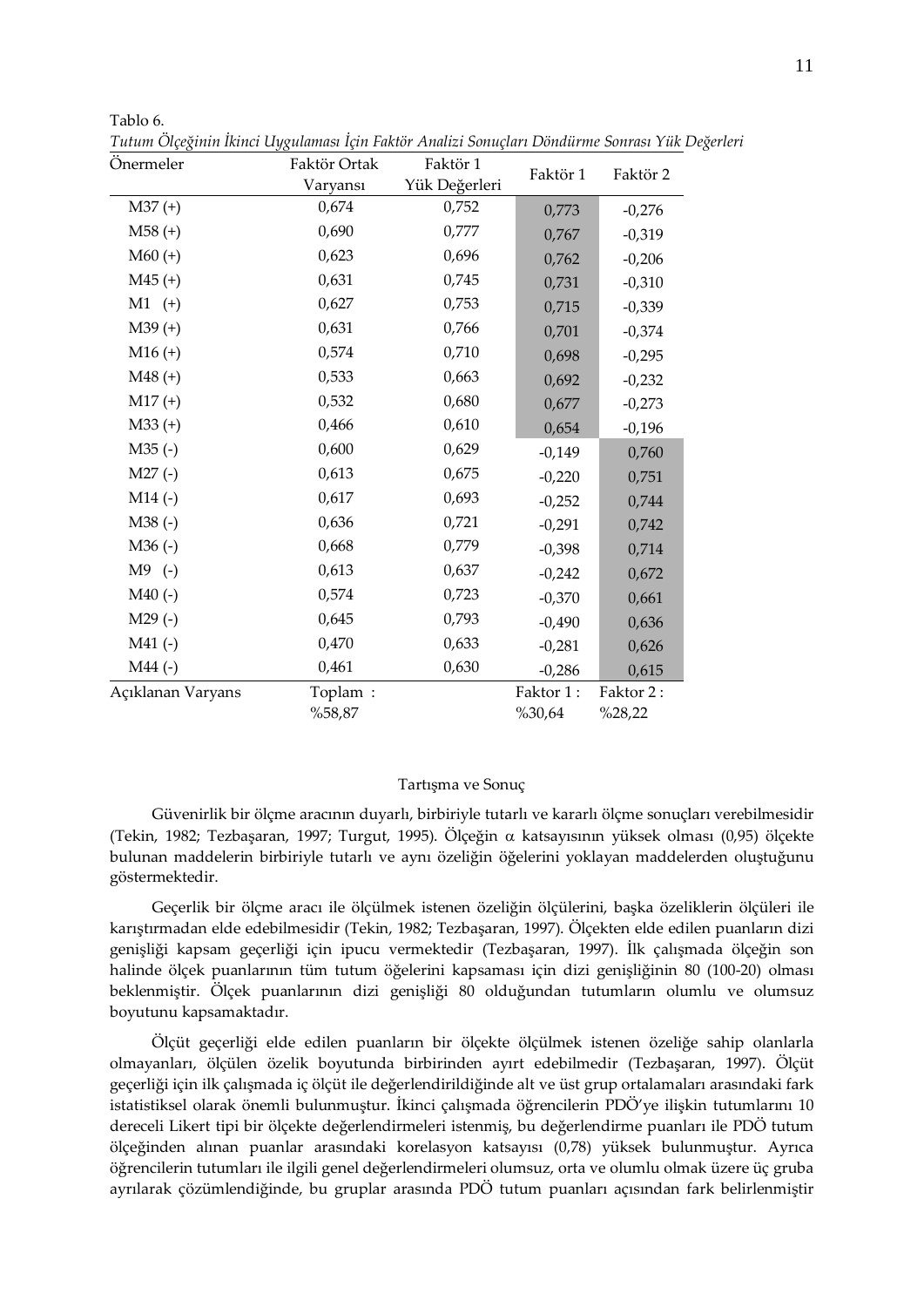| Önermeler         | Faktör Ortak      | Faktör 1      |                     |                     |
|-------------------|-------------------|---------------|---------------------|---------------------|
|                   | Varyansı          | Yük Değerleri | Faktör 1            | Faktör 2            |
| $M37 (+)$         | 0,674             | 0,752         | 0,773               | $-0,276$            |
| $M58 (+)$         | 0,690             | 0,777         | 0,767               | $-0,319$            |
| $M60 (+)$         | 0,623             | 0,696         | 0,762               | $-0,206$            |
| $M45 (+)$         | 0,631             | 0,745         | 0,731               | $-0,310$            |
| $M1$ (+)          | 0,627             | 0,753         | 0,715               | $-0,339$            |
| $M39 (+)$         | 0,631             | 0,766         | 0,701               | $-0,374$            |
| $M16 (+)$         | 0,574             | 0,710         | 0,698               | $-0,295$            |
| $M48 (+)$         | 0,533             | 0,663         | 0,692               | $-0,232$            |
| $M17 (+)$         | 0,532             | 0,680         | 0,677               | $-0,273$            |
| $M33 (+)$         | 0,466             | 0,610         | 0,654               | $-0,196$            |
| $M35$ (-)         | 0,600             | 0,629         | $-0,149$            | 0,760               |
| $M27(-)$          | 0,613             | 0,675         | $-0,220$            | 0,751               |
| $M14$ (-)         | 0,617             | 0,693         | $-0,252$            | 0,744               |
| M38(-)            | 0,636             | 0,721         | $-0,291$            | 0,742               |
| $M36(-)$          | 0,668             | 0,779         | $-0,398$            | 0,714               |
| $M9$ (-)          | 0,613             | 0,637         | $-0,242$            | 0,672               |
| $M40$ (-)         | 0,574             | 0,723         | $-0,370$            | 0,661               |
| $M29$ (-)         | 0,645             | 0,793         | $-0,490$            | 0,636               |
| $M41$ (-)         | 0,470             | 0,633         | $-0,281$            | 0,626               |
| $M44$ (-)         | 0,461             | 0,630         | $-0,286$            | 0,615               |
| Açıklanan Varyans | Toplam:<br>%58,87 |               | Faktor 1:<br>%30,64 | Faktor 2:<br>%28,22 |

*Tutum Ölçeğinin İkinci Uygulaması İçin Faktör Analizi Sonuçları Döndürme Sonrası Yük Değerleri*

Tablo 6.

### Tartışma ve Sonuç

Güvenirlik bir ölçme aracının duyarlı, birbiriyle tutarlı ve kararlı ölçme sonuçları verebilmesidir (Tekin, 1982; Tezbaşaran, 1997; Turgut, 1995). Ölçeğin α katsayısının yüksek olması (0,95) ölçekte bulunan maddelerin birbiriyle tutarlı ve aynı özeliğin öğelerini yoklayan maddelerden oluştuğunu göstermektedir.

Geçerlik bir ölçme aracı ile ölçülmek istenen özeliğin ölçülerini, başka özeliklerin ölçüleri ile karıştırmadan elde edebilmesidir (Tekin, 1982; Tezbaşaran, 1997). Ölçekten elde edilen puanların dizi genişliği kapsam geçerliği için ipucu vermektedir (Tezbaşaran, 1997). İlk çalışmada ölçeğin son halinde ölçek puanlarının tüm tutum öğelerini kapsaması için dizi genişliğinin 80 (100-20) olması beklenmiştir. Ölçek puanlarının dizi genişliği 80 olduğundan tutumların olumlu ve olumsuz boyutunu kapsamaktadır.

Ölçüt geçerliği elde edilen puanların bir ölçekte ölçülmek istenen özeliğe sahip olanlarla olmayanları, ölçülen özelik boyutunda birbirinden ayırt edebilmedir (Tezbaşaran, 1997). Ölçüt geçerliği için ilk çalışmada iç ölçüt ile değerlendirildiğinde alt ve üst grup ortalamaları arasındaki fark istatistiksel olarak önemli bulunmuştur. İkinci çalışmada öğrencilerin PDÖ'ye ilişkin tutumlarını 10 dereceli Likert tipi bir ölçekte değerlendirmeleri istenmiş, bu değerlendirme puanları ile PDÖ tutum ölçeğinden alınan puanlar arasındaki korelasyon katsayısı (0,78) yüksek bulunmuştur. Ayrıca öğrencilerin tutumları ile ilgili genel değerlendirmeleri olumsuz, orta ve olumlu olmak üzere üç gruba ayrılarak çözümlendiğinde, bu gruplar arasında PDÖ tutum puanları açısından fark belirlenmiştir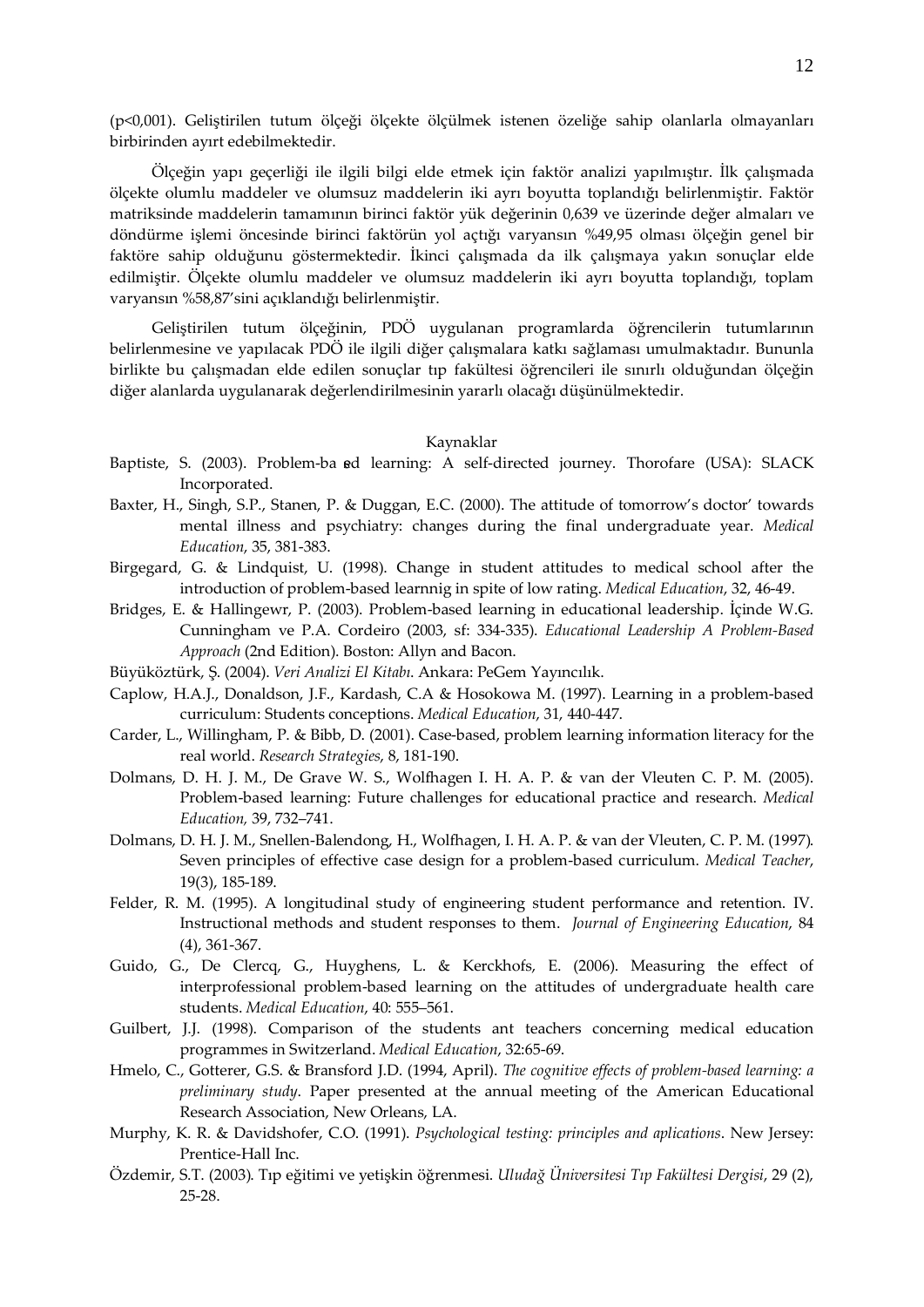(p<0,001). Geliştirilen tutum ölçeği ölçekte ölçülmek istenen özeliğe sahip olanlarla olmayanları birbirinden ayırt edebilmektedir.

Ölçeğin yapı geçerliği ile ilgili bilgi elde etmek için faktör analizi yapılmıştır. İlk çalışmada ölçekte olumlu maddeler ve olumsuz maddelerin iki ayrı boyutta toplandığı belirlenmiştir. Faktör matriksinde maddelerin tamamının birinci faktör yük değerinin 0,639 ve üzerinde değer almaları ve döndürme işlemi öncesinde birinci faktörün yol açtığı varyansın %49,95 olması ölçeğin genel bir faktöre sahip olduğunu göstermektedir. İkinci çalışmada da ilk çalışmaya yakın sonuçlar elde edilmiştir. Ölçekte olumlu maddeler ve olumsuz maddelerin iki ayrı boyutta toplandığı, toplam varyansın %58,87'sini açıklandığı belirlenmiştir.

Geliştirilen tutum ölçeğinin, PDÖ uygulanan programlarda öğrencilerin tutumlarının belirlenmesine ve yapılacak PDÖ ile ilgili diğer çalışmalara katkı sağlaması umulmaktadır. Bununla birlikte bu çalışmadan elde edilen sonuçlar tıp fakültesi öğrencileri ile sınırlı olduğundan ölçeğin diğer alanlarda uygulanarak değerlendirilmesinin yararlı olacağı düşünülmektedir.

# Kaynaklar

- Baptiste, S. (2003). Problem-ba sed learning: A self-directed journey. Thorofare (USA): SLACK Incorporated.
- Baxter, H., Singh, S.P., Stanen, P. & Duggan, E.C. (2000). The attitude of tomorrow's doctor' towards mental illness and psychiatry: changes during the final undergraduate year. *Medical Education*, 35, 381-383.
- Birgegard, G. & Lindquist, U. (1998). Change in student attitudes to medical school after the introduction of problem-based learnnig in spite of low rating. *Medical Education*, 32, 46-49.
- Bridges, E. & Hallingewr, P. (2003). Problem-based learning in educational leadership. İçinde W.G. Cunningham ve P.A. Cordeiro (2003, sf: 334-335). *Educational Leadership A Problem-Based Approach* (2nd Edition). Boston: Allyn and Bacon.
- Büyüköztürk, Ş. (2004). *Veri Analizi El Kitabı*. Ankara: PeGem Yayıncılık.
- Caplow, H.A.J., Donaldson, J.F., Kardash, C.A & Hosokowa M. (1997). Learning in a problem-based curriculum: Students conceptions. *Medical Education*, 31, 440-447.
- Carder, L., Willingham, P. & Bibb, D. (2001). Case-based, problem learning information literacy for the real world. *Research Strategies*, 8, 181-190.
- Dolmans, D. H. J. M., De Grave W. S., Wolfhagen I. H. A. P. & van der Vleuten C. P. M. (2005). Problem-based learning: Future challenges for educational practice and research. *Medical Education,* 39, 732–741.
- Dolmans, D. H. J. M., Snellen-Balendong, H., Wolfhagen, I. H. A. P. & van der Vleuten, C. P. M. (1997). Seven principles of effective case design for a problem-based curriculum. *Medical Teacher*, 19(3), 185-189.
- Felder, R. M. (1995). A longitudinal study of engineering student performance and retention. IV. Instructional methods and student responses to them. *Journal of Engineering Education*, 84 (4), 361-367.
- Guido, G., De Clercq, G., Huyghens, L. & Kerckhofs, E. (2006). Measuring the effect of interprofessional problem-based learning on the attitudes of undergraduate health care students. *Medical Education*, 40: 555–561.
- Guilbert, J.J. (1998). Comparison of the students ant teachers concerning medical education programmes in Switzerland. *Medical Education*, 32:65-69.
- Hmelo, C., Gotterer, G.S. & Bransford J.D. (1994, April). *The cognitive effects of problem-based learning: a preliminary study*. Paper presented at the annual meeting of the American Educational Research Association, New Orleans, LA.
- Murphy, K. R. & Davidshofer, C.O. (1991). *Psychological testing: principles and aplications*. New Jersey: Prentice-Hall Inc.
- Özdemir, S.T. (2003). Tıp eğitimi ve yetişkin öğrenmesi. *Uludağ Üniversitesi Tıp Fakültesi Dergisi*, 29 (2), 25-28.